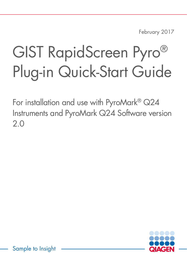February 2017

# GIST RapidScreen Pyro® Plug-in Quick-Start Guide

For installation and use with PyroMark® Q24 Instruments and PyroMark Q24 Software version 2.0



Sample to Insight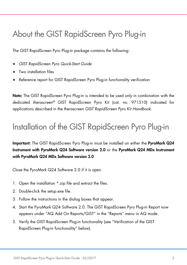#### About the GIST RapidScreen Pyro Plug-in

The GIST RapidScreen Pyro Plug-in package contains the following:

- *GIST RapidScreen Pyro Quick-Start Guide*
- Two installation files
- Reference report for GIST RapidScreen Pyro Plug-in functionality verification

Note: The GIST RapidScreen Pyro Plug-in is intended to be used only in combination with the dedicated *therascreen*® GIST RapidScreen Pyro Kit (cat. no. 971510) indicated for applications described in the therascreen *GIST RapidScreen Pyro Kit Handbook*.

#### Installation of the GIST RapidScreen Pyro Plug-in

Important: The GIST RapidScreen Pyro Plug-in must be installed on either the PyroMark Q24 Instrument with PyroMark Q24 Software version 2.0 or the PyroMark Q24 MDx Instrument with PyroMark Q24 MDx Software version 2.0

Close the PyroMark Q24 Software 2.0 if it is open.

- 1. Open the installation \*.zip file and extract the files.
- 2. Double-click the setup.exe file.
- 3. Follow the instructions in the dialog boxes that appear.
- 4. Start the PyroMark Q24 Software 2.0. The GIST RapidScreen Pyro Plug-in Report now appears under "AQ Add On Reports/GIST" in the "Reports" menu in AQ mode.
- 5. Verify the GIST RapidScreen Plug-in functionality (see "Verification of the GIST RapidScreen Plug-in functionality" below).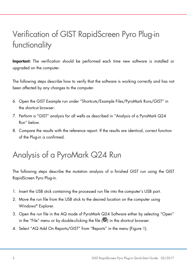# Verification of GIST RapidScreen Pyro Plug-in functionality

Important: The verification should be performed each time new software is installed or upgraded on the computer.

The following steps describe how to verify that the software is working correctly and has not been affected by any changes to the computer.

- 6. Open the GIST Example run under "Shortcuts/Example Files/PyroMark Runs/GIST" in the shortcut browser.
- 7. Perform a "GIST" analysis for all wells as described in "Analysis of a PyroMark Q24 Run" below.
- 8. Compare the results with the reference report. If the results are identical, correct function of the Plug-in is confirmed.

## Analysis of a PyroMark Q24 Run

The following steps describe the mutation analysis of a finished GIST run using the GIST RapidScreen Pyro Plug-in.

- 1. Insert the USB stick containing the processed run file into the computer's USB port.
- 2. Move the run file from the USB stick to the desired location on the computer using Windows® Explorer.
- 3. Open the run file in the AQ mode of PyroMark Q24 Software either by selecting "Open" in the "File" menu or by double-clicking the file  $(\Box)$  in the shortcut browser.
- 4. Select "AQ Add On Reports/GIST" from "Reports" in the menu (Figure 1).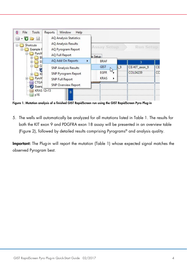

Figure 1. Mutation analysis of a finished GIST RapidScreen run using the GIST RapidScreen Pyro Plug-in

5. The wells will automatically be analyzed for all mutations listed in Table 1. The results for both the KIT exon 9 and PDGFRA exon 18 assay will be presented in an overview table (Figure 2), followed by detailed results comprising Pyrograms® and analysis quality.

Important: The Plug-in will report the mutation (Table 1) whose expected signal matches the observed Pyrogram best.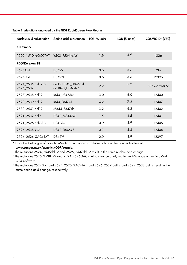|                                               | Nucleic acid substitution Amino acid substitution LOB (% units)  |     | LOD (% units) | COSMIC ID* (V70)          |  |  |
|-----------------------------------------------|------------------------------------------------------------------|-----|---------------|---------------------------|--|--|
| KIT exon 9                                    |                                                                  |     |               |                           |  |  |
| 1509 1510insGCCTAT Y503 F504insAY             |                                                                  | 1.9 | 4.9           | 1326                      |  |  |
| PDGFRA exon 18                                |                                                                  |     |               |                           |  |  |
| 2525A > T                                     | D842V                                                            | 0.6 | 3.6           | 736                       |  |  |
| $2524G>$ T                                    | D842Y§                                                           | 0.6 | 3.6           | 12396                     |  |  |
| 2524 2535 del 12 or <sup>t</sup><br>2526 2537 | del 12 D842 H845del<br>or <sup>†</sup> 1843 D846del <sup>§</sup> | 2.2 | 5.2           | 737 or <sup>t</sup> 96892 |  |  |
| 2527 2538 del 12                              | 1843 D846del <sup>§</sup>                                        | 3.0 | 6.0           | 12400                     |  |  |
| 2528 2539 del 12                              | 1843 S847>T                                                      | 4.2 | 7.2           | 12407                     |  |  |
| 2530 2541 del 12                              | M844 S847del                                                     | 3.2 | 6.2           | 12402                     |  |  |
| 2524 2532 del9                                | D842 M844del                                                     | 1.5 | 4.5           | 12401                     |  |  |
| 2524 2526 delGAC                              | D842del                                                          | 0.9 | 3.9           | 12406                     |  |  |
| $2526 - 2538 > G^+$                           | D842_D846>E                                                      | 0.3 | 3.3           | 12408                     |  |  |
| 2524 2526 GAC>TAT                             | D842Y <sup>§</sup>                                               | 0.9 | 3.9           | 12397                     |  |  |

Table 1. Mutations analyzed by the GIST RapidScreen Pyro Plug-in

\* From the Catalogue of Somatic Mutations in Cancer, available online at the Sanger Institute at www.sanger.ac.uk/genetics/CGP/cosmic.

† The mutations 2524\_2535del12 and 2526\_2537del12 result in the same nucleic acid change.

‡ The mutations 2526\_2538 >G and 2524\_2526GAC>TAT cannot be analyzed in the AQ mode of the PyroMark Q24 Software.

§ The mutations 2524G>T and 2524\_2526 GAC>TAT, and 2526\_2537 del12 and 2527\_2538 del12 result in the same amino acid change, respectively.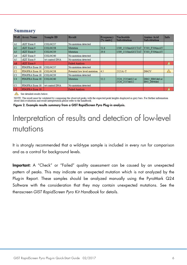| Well                          | <b>Assay Name</b> | Sample ID       | Result                       | Frequency<br>[% units] | <b>Nucleotide</b><br><b>Substitution</b> | <b>Amino Acid</b><br><b>Substitution</b> | Info             |
|-------------------------------|-------------------|-----------------|------------------------------|------------------------|------------------------------------------|------------------------------------------|------------------|
| A1                            | cKIT Exon 9       | COL04237        | No mutation detected         |                        |                                          |                                          |                  |
| $\frac{A2}{A3}$               | cKIT Exon 9       | <b>COL04238</b> | Mutation                     | 51.6                   | 1509 1510insGCCTAT                       | Y503 F504insAY                           |                  |
|                               | cKIT Exon 9       | COL04239        | Mutation                     | 29.6                   | 1509 1510insGCCTAT                       | Y503 F504insAY                           |                  |
| AA                            | cKIT Exon 9       | COL04240        | No mutation detected         |                        |                                          |                                          |                  |
| A <sub>5</sub>                | cKIT Exon 9       | wt control DNA  | No mutation detected         |                        |                                          |                                          |                  |
| A <sub>8</sub>                | cKIT Exon 9       |                 | <b>Failed Analysis</b>       |                        |                                          |                                          | $\blacktriangle$ |
| C1                            | PDGFRA Exon 18    | COL04237        | No mutation detected         |                        |                                          |                                          |                  |
| $\frac{C2}{C3}$               | PDGFRA Exon 18    | <b>COL04238</b> | Potential low level mutation | 4.5                    | 2525A > T                                | <b>D842V</b>                             | $\sqrt{1}$       |
|                               | PDGFRA Exon 18    | COL04239        | No mutation detected         |                        |                                          |                                          |                  |
|                               | PDGFRA Exon 18    | COL04240        | Mutation                     | 52.2                   | 2524 2535del12 or<br>2526 2537del12      | D842 H845del or<br>I843 D846del          |                  |
| C <sub>5</sub>                | PDGFRA Exon 18    | wt control DNA  | No mutation detected         |                        |                                          |                                          |                  |
| $\overline{\text{c}}\text{s}$ | PDGFRA Exon 18    |                 | <b>Failed Analysis</b>       |                        |                                          |                                          |                  |

#### **Summary**

See detailed results below.

NOTE: The result must be validated by comparing the observed peaks with the expected peak heights displayed as grey bars. For further information about data evaluation and result interpretation please refer to the handbook

Figure 2. Example results summary from a GIST RapidScreen Pyro Plug-in analysis.

## Interpretation of results and detection of low-level mutations

It is strongly recommended that a wild-type sample is included in every run for comparison and as a control for background levels.

Important: A "Check" or "Failed" quality assessment can be caused by an unexpected pattern of peaks. This may indicate an unexpected mutation which is not analyzed by the Plug-in Report. These samples should be analyzed manually using the PyroMark Q24 Software with the consideration that they may contain unexpected mutations. See the therascreen *GIST RapidScreen Pyro Kit Handbook* for details.